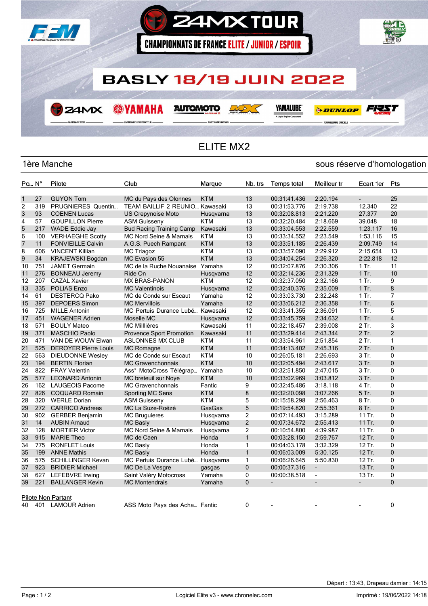

## ELITE MX2

## 1ère Manche sous réserve d'homologation

| $Po_{m}$ . $N^{\circ}$ |     | Pilote                      | Club                               | Marque     | Nb. trs        | <b>Temps total</b> | Meilleur tr              | Ecart 1er                | Pts            |
|------------------------|-----|-----------------------------|------------------------------------|------------|----------------|--------------------|--------------------------|--------------------------|----------------|
|                        |     |                             |                                    |            |                |                    |                          |                          |                |
| $\mathbf{1}$           | 27  | <b>GUYON Tom</b>            | MC du Pays des Olonnes             | <b>KTM</b> | 13             | 00:31:41.436       | 2:20.194                 | $\overline{\phantom{0}}$ | 25             |
| 2                      | 319 | PRUGNIERES Quentin          | TEAM BAILLIF 2 REUNIO Kawasaki     |            | 13             | 00:31:53.776       | 2:19.738                 | 12.340                   | 22             |
| 3                      | 93  | <b>COENEN Lucas</b>         | <b>US Crepynoise Moto</b>          | Husgvarna  | 13             | 00:32:08.813       | 2:21.220                 | 27.377                   | 20             |
| 4                      | 57  | <b>GOUPILLON Pierre</b>     | <b>ASM Guisseny</b>                | KTM        | 13             | 00:32:20.484       | 2:18.669                 | 39.048                   | 18             |
| 5                      | 217 | <b>WADE Eddie Jay</b>       | <b>Bud Racing Training Camp</b>    | Kawasaki   | 13             | 00:33:04.553       | 2:22.559                 | 1:23.117                 | 16             |
| 6                      | 100 | <b>VERHAEGHE Scotty</b>     | <b>MC Nord Seine &amp; Marnais</b> | <b>KTM</b> | 13             | 00:33:34.552       | 2:23.549                 | 1:53.116                 | 15             |
| $\overline{7}$         | 11  | <b>FONVIEILLE Calvin</b>    | A.G.S. Puech Rampant               | <b>KTM</b> | 13             | 00:33:51.185       | 2:26.439                 | 2:09.749                 | 14             |
| 8                      | 606 | <b>VINCENT Killian</b>      | <b>MC Triagoz</b>                  | <b>KTM</b> | 13             | 00:33:57.090       | 2:29.912                 | 2:15.654                 | 13             |
| 9                      | 34  | <b>KRAJEWSKI Bogdan</b>     | MC Evasion 55                      | <b>KTM</b> | 13             | 00:34:04.254       | 2:26.320                 | 2:22.818                 | 12             |
| 10                     | 751 | <b>JAMET Germain</b>        | MC de la Ruche Nouanaise Yamaha    |            | 12             | 00:32:07.876       | 2:30.306                 | 1 Tr.                    | 11             |
| 11                     | 276 | <b>BONNEAU Jeremy</b>       | Ride On                            | Husgvarna  | 12             | 00:32:14.236       | 2:31.329                 | $1$ Tr.                  | 10             |
| 12                     | 207 | <b>CAZAL Xavier</b>         | <b>MX BRAS-PANON</b>               | <b>KTM</b> | 12             | 00:32:37.050       | 2:32.166                 | 1 Tr.                    | 9              |
| 13                     | 335 | <b>POLIAS Enzo</b>          | <b>MC Valentinois</b>              | Husqvarna  | 12             | 00:32:40.376       | 2:35.009                 | $1$ Tr.                  | 8              |
| 14                     | 61  | <b>DESTERCQ Pako</b>        | MC de Conde sur Escaut             | Yamaha     | 12             | 00:33:03.730       | 2:32.248                 | 1 Tr.                    | 7              |
| 15                     | 397 | <b>DEPOERS Simon</b>        | <b>MC Mervillois</b>               | Yamaha     | 12             | 00:33:06.212       | 2:36.358                 | $1$ Tr.                  | 6              |
| 16                     | 725 | <b>MILLE Antonin</b>        | MC Pertuis Durance Lubé Kawasaki   |            | 12             | 00:33:41.355       | 2:36.091                 | 1 Tr.                    | 5              |
| 17                     | 451 | <b>WAGENER Adrien</b>       | Moselle MC                         | Husqvarna  | 12             | 00:33:45.759       | 2:34.632                 | $1$ Tr.                  | $\overline{4}$ |
| 18                     | 571 | <b>BOULY Mateo</b>          | <b>MC Milllières</b>               | Kawasaki   | 11             | 00:32:18.457       | 2:39.008                 | 2 Tr.                    | 3              |
| 19                     | 371 | <b>MASCHIO Paolo</b>        | Provence Sport Promotion           | Kawasaki   | 11             | 00:33:29.414       | 2:43.344                 | 2 Tr.                    | $\overline{2}$ |
| 20                     | 471 | VAN DE WOUW Elwan           | <b>ASLONNES MX CLUB</b>            | <b>KTM</b> | 11             | 00:33:54.961       | 2:51.854                 | 2 Tr.                    | $\mathbf{1}$   |
| 21                     | 525 | <b>DEROYER Pierre Louis</b> | <b>MC Romagne</b>                  | <b>KTM</b> | 11             | 00:34:13.402       | 2:45.316                 | 2 Tr.                    | $\mathbf{0}$   |
| 22                     | 563 | <b>DIEUDONNE Wesley</b>     | MC de Conde sur Escaut             | <b>KTM</b> | 10             | 00:26:05.181       | 2:26.693                 | 3 Tr.                    | 0              |
| 23                     | 194 | <b>BERTIN Florian</b>       | <b>MC Gravenchonnais</b>           | <b>KTM</b> | 10             | 00:32:05.494       | 2:43.617                 | 3 Tr.                    | $\mathbf{0}$   |
| 24                     | 822 | <b>FRAY Valentin</b>        | Ass° MotoCross Télégrap Yamaha     |            | 10             | 00:32:51.850       | 2:47.015                 | 3 Tr.                    | $\mathbf{0}$   |
| 25                     | 577 | <b>LEONARD Antonin</b>      | MC breteuil sur Nove               | <b>KTM</b> | 10             | 00:33:02.969       | 3:03.812                 | 3 Tr.                    | $\mathbf{0}$   |
| 26                     | 162 | <b>LAUGEOIS Pacome</b>      | <b>MC Gravenchonnais</b>           | Fantic     | 9              | 00:32:45.486       | 3:18.118                 | 4 Tr.                    | $\mathbf{0}$   |
| 27                     | 826 | <b>COQUARD Romain</b>       | Sporting MC Sens                   | <b>KTM</b> | 8              | 00:32:20.098       | 3:07.266                 | 5 Tr.                    | $\mathbf{0}$   |
| 28                     | 320 | <b>WERLE Dorian</b>         | <b>ASM Guisseny</b>                | <b>KTM</b> | 5              | 00:15:58.298       | 2:56.463                 | 8 Tr.                    | $\mathbf{0}$   |
| 29                     | 272 | <b>CARRICO Andreas</b>      | MC La Suze-Roëzé                   | GasGas     | 5              | 00:19:54.820       | 2:55.361                 | 8 Tr.                    | $\mathbf{0}$   |
| 30                     | 902 | <b>GERBER Benjamin</b>      | <b>MC Bruguieres</b>               | Husqvarna  | 2              | 00:07:14.493       | 3:15.289                 | 11 Tr.                   | 0              |
| 31                     | 14  | <b>AUBIN Arnaud</b>         | <b>MC Basly</b>                    | Husqvarna  | $\overline{2}$ | 00:07:34.672       | 2:55.413                 | 11 Tr.                   | $\mathbf{0}$   |
| 32                     | 128 | <b>MORTIER Victor</b>       | <b>MC Nord Seine &amp; Marnais</b> | Husqvarna  | 2              | 00:10:54.800       | 4:39.987                 | 11 Tr.                   | 0              |
| 33                     | 915 | <b>MARIE Theo</b>           | MC de Caen                         | Honda      | $\mathbf{1}$   | 00:03:28.150       | 2:59.767                 | 12 Tr.                   | $\mathbf{0}$   |
| 34                     | 775 | <b>RONFLET Louis</b>        | MC Basly                           | Honda      | 1              | 00:04:03.178       | 3:32.329                 | 12 Tr.                   | 0              |
| 35                     | 199 | <b>ANNE Mathis</b>          | <b>MC Basly</b>                    | Honda      | $\mathbf{1}$   | 00:06:03.009       | 5:30.125                 | 12 Tr.                   | $\mathbf{0}$   |
| 36                     | 575 | <b>SCHILLINGER Kevan</b>    | MC Pertuis Durance Lubé Husqvarna  |            | 1              | 00:06:26.645       | 5:50.830                 | 12 Tr.                   | 0              |
| 37                     | 923 | <b>BRIDIER Michael</b>      | MC De La Vesgre                    | gasgas     | 0              | 00:00:37.316       | $\blacksquare$           | 13 Tr.                   | $\mathbf{0}$   |
| 38                     | 627 | <b>LEFEBVRE Irwing</b>      | Saint Valéry Motocross             | Yamaha     | 0              | 00:00:38.518       | $\blacksquare$           | 13 Tr.                   | $\mathbf 0$    |
| 39                     | 221 | <b>BALLANGER Kevin</b>      | <b>MC Montendrais</b>              | Yamaha     | 0              |                    | $\overline{\phantom{a}}$ |                          | $\mathbf{0}$   |
|                        |     |                             |                                    |            |                |                    |                          |                          |                |
|                        |     | Pilote Non Partant          |                                    |            |                |                    |                          |                          |                |
| 40                     | 401 | <b>LAMOUR Adrien</b>        | ASS Moto Pays des Acha Fantic      |            | 0              |                    |                          |                          | 0              |